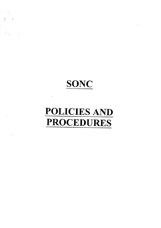SONC

 $\label{eq:2} \frac{1}{\sqrt{2}}\left(\frac{1}{\sqrt{2}}\right)^{2}$ 

 $\sim 10$ 

 $\frac{d}{dt}$ 

 $\frac{1}{2}$  ,  $\frac{1}{2}$ 

 $\label{eq:3.1} \frac{1}{2} \frac{1}{\sqrt{2}} \left( \frac{1}{2} \right)^{2} \left( \frac{1}{2} \right)^{2}$ 

 $\mathbf{Y}$ 

# POLICIESAND PROCEDURES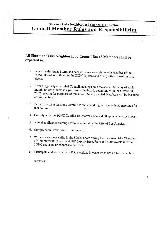### Sherman Oaks Neighborhood Council 2007 Election **Council Member Rules and Responsibilities**

#### All Sherman Oaks Neighborhood Council Board Members shall be expected to:

- 1. Serve the designated term and accept the responsibilities of a Member of the SONC Board as outlined in the SONC Bylaws and of any officer position if so elected.
- 2. Attend regularly scheduled Council meetings held the second Monday of each month, unless otherwise agreed to by the board, beginning with the October 8, 2007 meeting for purposes of transition. Newly elected Members will be installed at this meeting.
- 3. Participate on at least one committee and attend regularly scheduled meetings for that committee.
- 4. Comply with the SONC Conflict-of-Interest Code and all applicable ethics laws.
- 5. Attend applicable training sessions required by the City of Los Angeles.
- 6. Comply with Brown Act requirements.
- 7. Work one or more shifts in the SONC booth during the Sherman Oaks Chamber of Commerce (October) and BID (April) Street Fairs and other events in which SONC sponsors or chooses to participate in.
- 8. Participate and assist with SONC elections in years when not up for re-election.

 $\mathbf{u}$ 

201002336.1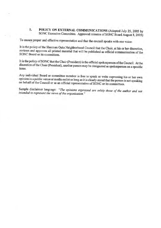#### 1. POLICY ON EXTERNAL COMMUNICATIONS (Adopted July 25, <sup>2005</sup> by SONC Executive Committee. Approved minutes of SONC Board August 8, 2005)

To ensure proper and effective representation and that the council speaks with one voice:

It is the policy of the Sherman Oaks Neighborhood Council that the Chair, at his or her discretion, reviews and approves all printed material that will be published as official communication of the SONC Board or its committees.

It is the policy of SONC that the Chair (President) is the official spokesperson of the Council. At the discretion of the Chair (President), another person may be designated as spokesperson on a specific issue.

Any individual Board or committee member is free to speak or write expressing his or her own opinion in a public venue or media outlet as long as it is clearly stated that the person is not speaking on behalf of the Council or as an official representative of SONC or its committees.

Sample disclaimer language: "The opinions expressed are solely those of the author and not intended to represent the views of the organization."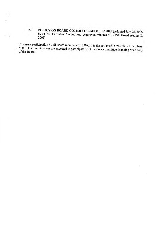2. POLICY ON BOARD COMMITTEE MEMBERSHIP (Adopted July 25, 2005 by SONC Executive Committee. Approved minutes of SONC Board August 8, 2005)

To ensure participation by all Board members of SONC, it is the policy of SONC that all members of the Board of Directors are expected to participate on at least one committee (standing or ad hoc) of the Board.

Ŷ.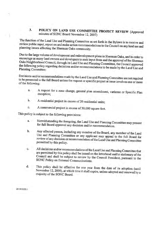#### 3. POLICY ON LAND USE COMMITTEE PROJECT REVIEW (Approved minutes of SONC Board November 12, 2007)

The function of the Land Use and Planning Committee as set forth in the Bylaws is to receive and review public input, report on and make action recommendations to the Council on any land use and planning issues affecting the Sherman Oaks community.

Due to the large volume of development and redevelopment plans in Sherman Oaks, and in order to encourage as many land owners and developers to seek input from and the approval of the Sherman Oaks Neighborhood Council, through its Land Use and Planning Committee, the Council approved the following policy regarding decisions and/or recommendations to be made by the Land Use and Planning Committee:

Decisions and/or recommendations made by the Land Use and Planning Committee are not required to be presented to the full Board unless the request or specific project at issue involves one or more of the following: belowing:<br>a. A request for a zone change, general plan amendment, variance or Specific Plan<br>exception:

- exception; a. A request for a zone change, general plan amendment<br>exception;<br>b. A residential project in excess of 20 residential units;
- b. A residential project in excess of 20 residential units;<br>c. A commercial project in excess of 30,000 square feet.
- 

This policy is subject to the following provisions:

- a. Notwithstanding the foregoing, the Land Use and Planning Committee may present for full Board approval any decision and/or recommendation.
- b. Any affected person, including any member of the Board, any member of the Land Use and Planning Committee or any applicant may appeal to the full Board for review of any decision or recommendation of the Land Use and Planning Committee<br>permitted by this policy.<br>C. All decisions and/or recommendations of the Land Use and Planning Committee that<br>are permitted by this policy sha permitted by this policy.
- All decisions and/or recommendations of the Land Use and Planning Committee that<br>are permitted by this policy shall be issued on the letterhead and/or stationary of the Council and shall be subject to review by the Council President, pursuant to the SONC Policy on External Communications.
- d. This policy shall be effective for one year from the date of its adoption (until November 12, 2008), at which time it shall expire, unless adopted and renewed by a majority of the SONC Board.

201011222.1